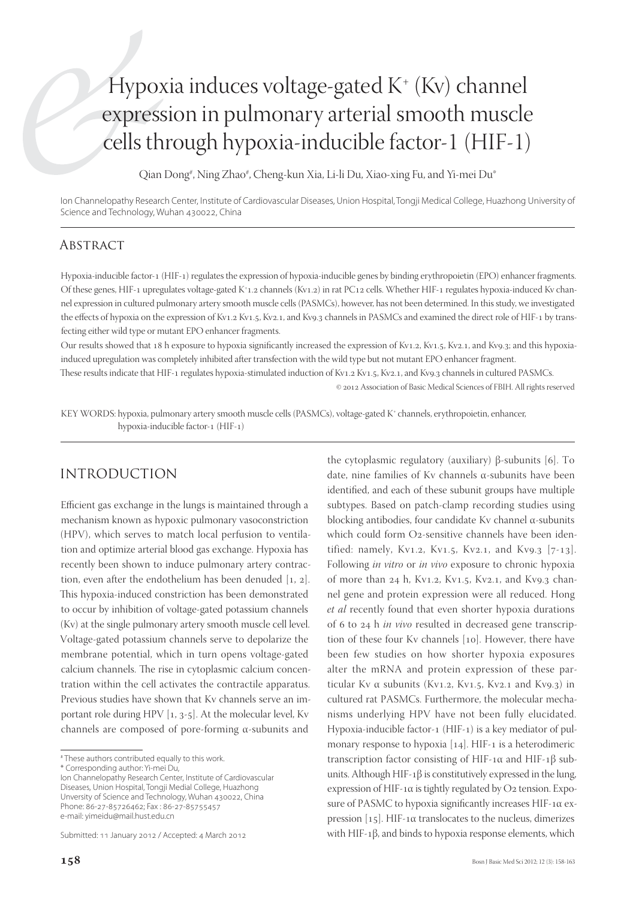# Hypoxia induces voltage-gated K+ (Kv) channel expression in pulmonary arterial smooth muscle cells through hypoxia-inducible factor-1 (HIF-1)

Qian Dong#, Ning Zhao#, Cheng-kun Xia, Li-li Du, Xiao-xing Fu, and Yi-mei Du\*

Ion Channelopathy Research Center, Institute of Cardiovascular Diseases, Union Hospital, Tongji Medical College, Huazhong University of Science and Technology, Wuhan 430022, China

#### **ABSTRACT**

Hypoxia-inducible factor-1 (HIF-1) regulates the expression of hypoxia-inducible genes by binding erythropoietin (EPO) enhancer fragments. Of these genes, HIF-1 upregulates voltage-gated K+1.2 channels (Kv1.2) in rat PC12 cells. Whether HIF-1 regulates hypoxia-induced Kv channel expression in cultured pulmonary artery smooth muscle cells (PASMCs), however, has not been determined. In this study, we investigated the effects of hypoxia on the expression of Kv1.2 Kv1.5, Kv2.1, and Kv9.3 channels in PASMCs and examined the direct role of HIF-1 by transfecting either wild type or mutant EPO enhancer fragments.

Our results showed that 18 h exposure to hypoxia significantly increased the expression of Kv1.2, Kv1.5, Kv2.1, and Kv9.3; and this hypoxiainduced upregulation was completely inhibited after transfection with the wild type but not mutant EPO enhancer fragment.

These results indicate that HIF-1 regulates hypoxia-stimulated induction of Kv1.2 Kv1.5, Kv2.1, and Kv9.3 channels in cultured PASMCs.

© 2012 Association of Basic Medical Sciences of FBIH. All rights reserved

KEY WORDS: hypoxia, pulmonary artery smooth muscle cells (PASMCs), voltage-gated K+ channels, erythropoietin, enhancer, hypoxia-inducible factor-1 (HIF-1)

#### INTRODUCTION

Efficient gas exchange in the lungs is maintained through a mechanism known as hypoxic pulmonary vasoconstriction (HPV), which serves to match local perfusion to ventilation and optimize arterial blood gas exchange. Hypoxia has recently been shown to induce pulmonary artery contraction, even after the endothelium has been denuded  $[1, 2]$ . This hypoxia-induced constriction has been demonstrated to occur by inhibition of voltage-gated potassium channels (Kv) at the single pulmonary artery smooth muscle cell level. Voltage-gated potassium channels serve to depolarize the membrane potential, which in turn opens voltage-gated calcium channels. The rise in cytoplasmic calcium concentration within the cell activates the contractile apparatus. Previous studies have shown that Kv channels serve an important role during HPV  $[1, 3-5]$ . At the molecular level, Kv channels are composed of pore-forming α-subunits and

\* Corresponding author: Yi-mei Du,

Ion Channelopathy Research Center, Institute of Cardiovascular Diseases, Union Hospital, Tongji Medial College, Huazhong Unversity of Science and Technology, Wuhan 430022, China Phone: 86-27-85726462; Fax : 86-27-85755457 e-mail: yimeidu@mail.hust.edu.cn

the cytoplasmic regulatory (auxiliary) β-subunits [6]. To date, nine families of Kv channels α-subunits have been identified, and each of these subunit groups have multiple subtypes. Based on patch-clamp recording studies using blocking antibodies, four candidate Kv channel α-subunits which could form O2-sensitive channels have been identified: namely, Kv1.2, Kv1.5, Kv2.1, and Kv9.3  $[7-13]$ . Following *in vitro* or *in vivo* exposure to chronic hypoxia of more than 24 h, Kv1.2, Kv1.5, Kv2.1, and Kv9.3 channel gene and protein expression were all reduced. Hong *et al* recently found that even shorter hypoxia durations of 6 to 24 h *in vivo* resulted in decreased gene transcription of these four Kv channels [10]. However, there have been few studies on how shorter hypoxia exposures alter the mRNA and protein expression of these particular Kv  $\alpha$  subunits (Kv1.2, Kv1.5, Kv2.1 and Kv9.3) in cultured rat PASMCs. Furthermore, the molecular mechanisms underlying HPV have not been fully elucidated. Hypoxia-inducible factor-1 (HIF-1) is a key mediator of pulmonary response to hypoxia  $[14]$ . HIF-1 is a heterodimeric transcription factor consisting of HIF-1α and HIF-1β subunits. Although HIF-1 $\beta$  is constitutively expressed in the lung, expression of HIF-1 $\alpha$  is tightly regulated by O2 tension. Exposure of PASMC to hypoxia significantly increases HIF-1 $\alpha$  expression  $[15]$ . HIF-1α translocates to the nucleus, dimerizes with HIF-1β, and binds to hypoxia response elements, which

<sup>#</sup> These authors contributed equally to this work.

Submitted: 11 January 2012 / Accepted: 4 March 2012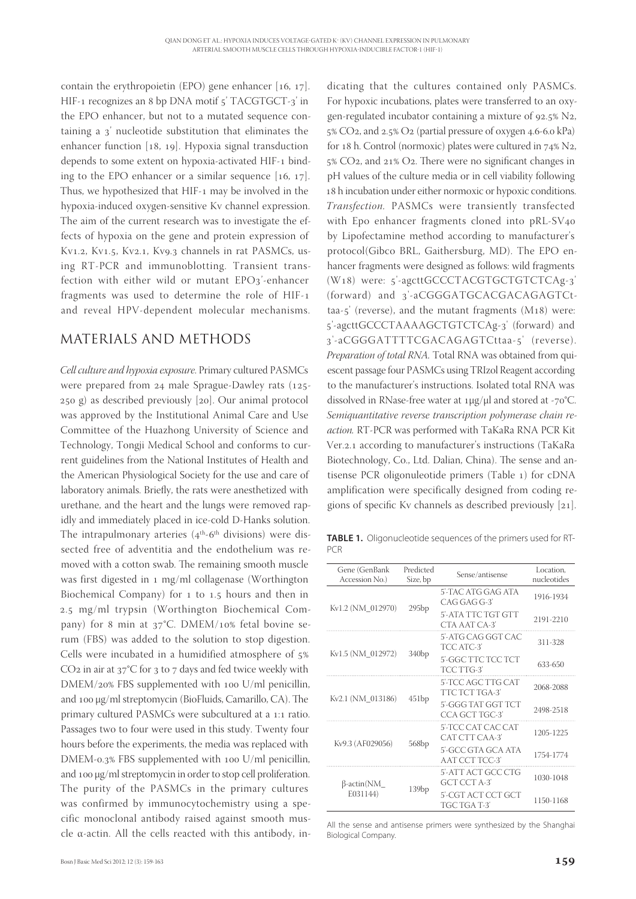contain the erythropoietin (EPO) gene enhancer  $[16, 17]$ . HIF-1 recognizes an 8 bp DNA motif 5' TACGTGCT-3' in the EPO enhancer, but not to a mutated sequence containing a 3' nucleotide substitution that eliminates the enhancer function  $[18, 19]$ . Hypoxia signal transduction depends to some extent on hypoxia-activated HIF-1 binding to the EPO enhancer or a similar sequence  $[16, 17]$ . Thus, we hypothesized that HIF-1 may be involved in the hypoxia-induced oxygen-sensitive Kv channel expression. The aim of the current research was to investigate the effects of hypoxia on the gene and protein expression of Kv1.2, Kv1.5, Kv2.1, Kv9.3 channels in rat PASMCs, using RT-PCR and immunoblotting. Transient transfection with either wild or mutant  $EPO_3'$ -enhancer fragments was used to determine the role of HIF and reveal HPV-dependent molecular mechanisms.

## MATERIALS AND METHODS

*Cell culture and hypoxia exposure*. Primary cultured PASMCs were prepared from  $24$  male Sprague-Dawley rats (125- $250$  g) as described previously  $[20]$ . Our animal protocol was approved by the Institutional Animal Care and Use Committee of the Huazhong University of Science and Technology, Tongji Medical School and conforms to current guidelines from the National Institutes of Health and the American Physiological Society for the use and care of laboratory animals. Briefly, the rats were anesthetized with urethane, and the heart and the lungs were removed rapidly and immediately placed in ice-cold D-Hanks solution. The intrapulmonary arteries  $(4<sup>th</sup>-6<sup>th</sup>$  divisions) were dissected free of adventitia and the endothelium was removed with a cotton swab. The remaining smooth muscle was first digested in  $1 \text{ mg/ml}$  collagenase (Worthington Biochemical Company) for  $1$  to  $1.5$  hours and then in 2.5 mg/ml trypsin (Worthington Biochemical Company) for 8 min at  $37^{\circ}$ C. DMEM/10% fetal bovine serum (FBS) was added to the solution to stop digestion. Cells were incubated in a humidified atmosphere of 5%  $CO<sub>2</sub>$  in air at 37°C for 3 to 7 days and fed twice weekly with  $DMEM/20\%$  FBS supplemented with  $100$  U/ml penicillin, and 100 μg/ml streptomycin (BioFluids, Camarillo, CA). The primary cultured PASMCs were subcultured at a 1:1 ratio. Passages two to four were used in this study. Twenty four hours before the experiments, the media was replaced with DMEM-0.3% FBS supplemented with 100 U/ml penicillin, and 100 μg/ml streptomycin in order to stop cell proliferation. The purity of the PASMCs in the primary cultures was confirmed by immunocytochemistry using a specific monoclonal antibody raised against smooth muscle α-actin. All the cells reacted with this antibody, in-

dicating that the cultures contained only PASMCs. For hypoxic incubations, plates were transferred to an oxygen-regulated incubator containing a mixture of  $92.5\%$  N<sub>2</sub>,  $5\%$  CO<sub>2</sub>, and  $2.5\%$  O<sub>2</sub> (partial pressure of oxygen  $4.6$ -6.0 kPa) for 18 h. Control (normoxic) plates were cultured in  $74\%$  N<sub>2</sub>,  $5\%$  CO<sub>2</sub>, and  $21\%$  O<sub>2</sub>. There were no significant changes in pH values of the culture media or in cell viability following 18 h incubation under either normoxic or hypoxic conditions. *Transfection.* PASMCs were transiently transfected with Epo enhancer fragments cloned into pRL-SV40 by Lipofectamine method according to manufacturer's protocol(Gibco BRL, Gaithersburg, MD). The EPO enhancer fragments were designed as follows: wild fragments (W<sub>18</sub>) were: 5'-agcttGCCCTACGTGCTGTCTCAg-3' (forward) and 3'-aCGGGATGCACGACAGAGTCttaa- $5'$  (reverse), and the mutant fragments (M18) were: '-agcttGCCCTAAAAGCTGTCTCAg-' (forward) and 3'-aCGGGATTTTCGACAGAGTCttaa-5' (reverse). *Preparation of total RNA.* Total RNA was obtained from quiescent passage four PASMCs using TRIzol Reagent according to the manufacturer's instructions. Isolated total RNA was dissolved in RNase-free water at  $1\mu$ g/ $\mu$ l and stored at -70°C. *Semiquantitative reverse transcription polymerase chain reaction.* RT-PCR was performed with TaKaRa RNA PCR Kit Ver.2.1 according to manufacturer's instructions (TaKaRa Biotechnology, Co., Ltd. Dalian, China). The sense and antisense PCR oligonuleotide primers (Table 1) for cDNA amplification were specifically designed from coding regions of specific Kv channels as described previously  $[21]$ .

**TABLE 1.** Oligonucleotide sequences of the primers used for RT-PCR

| Gene (GenBank<br>Accession No.) | Predicted<br>Size, bp | Sense/antisense                      | Location.<br>nucleotides |
|---------------------------------|-----------------------|--------------------------------------|--------------------------|
| Kv1.2 (NM 012970)               | 295bp                 | 5'-TAC ATG GAG ATA<br>CAG GAG G-3'   | 1916-1934                |
|                                 |                       | 5'-ATA TTC TGT GTT<br>CTA AAT CA-3'  | 2191-2210                |
| Kv1.5 (NM 012972)               | 340bp                 | 5'-ATG CAG GGT CAC<br>TCC ATC-3'     | 311-328                  |
|                                 |                       | 5'-GGC TTC TCC TCT<br>TCC TTG-3'     | 633-650                  |
| Kv2.1 (NM 013186)               | 451bp                 | 5'-TCC AGC TTG CAT<br>TTC TCT TGA-3' | 2068-2088                |
|                                 |                       | 5'-GGG TAT GGT TCT<br>CCA GCT TGC-3' | 2498-2518                |
| Kv9.3 (AF029056)                | 568bp                 | 5'-TCC CAT CAC CAT<br>CAT CTT CAA-3' | 1205-1225                |
|                                 |                       | 5'-GCC GTA GCA ATA<br>AAT CCT TCC-3' | 1754-1774                |
| β-actin(NM<br>E031144)          | 139bp                 | 5'-ATT ACT GCC CTG<br>GCT CCT A-3'   | 1030-1048                |
|                                 |                       | 5'-CGT ACT CCT GCT<br>TGC TGA T-3'   | 1150-1168                |

All the sense and antisense primers were synthesized by the Shanghai Biological Company.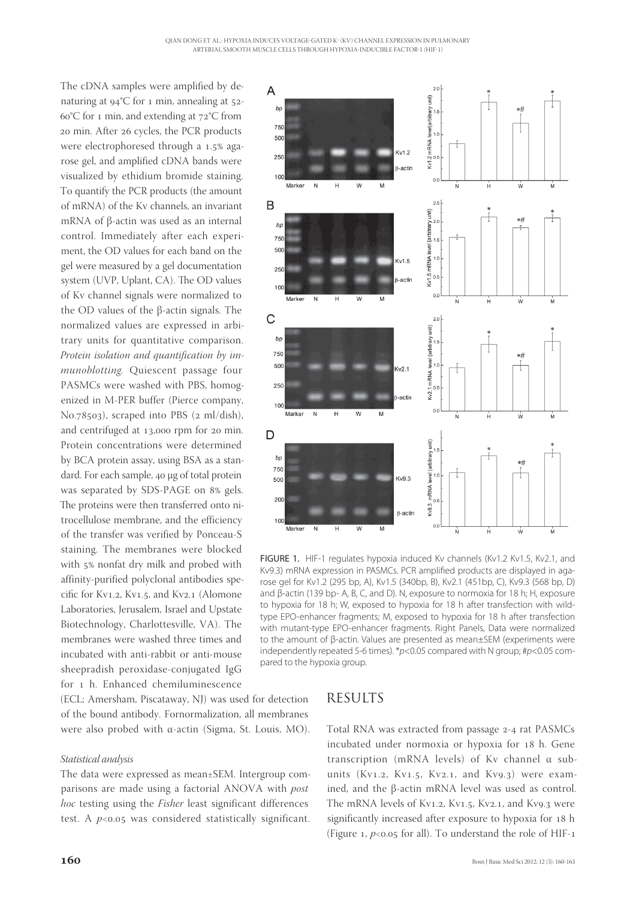The cDNA samples were amplified by denaturing at  $94^{\circ}$ C for 1 min, annealing at  $52$ - $60^{\circ}$ C for 1 min, and extending at  $72^{\circ}$ C from 20 min. After 26 cycles, the PCR products were electrophoresed through a 1.5% agarose gel, and amplified cDNA bands were visualized by ethidium bromide staining. To quantify the PCR products (the amount of mRNA) of the Kv channels, an invariant mRNA of β-actin was used as an internal control. Immediately after each experiment, the OD values for each band on the gel were measured by a gel documentation system (UVP, Uplant, CA). The OD values of Kv channel signals were normalized to the OD values of the β-actin signals. The normalized values are expressed in arbitrary units for quantitative comparison. *Protein isolation and quantification by immunoblotting.* Quiescent passage four PASMCs were washed with PBS, homogenized in M-PER buffer (Pierce company, No.78503), scraped into PBS (2 ml/dish), and centrifuged at  $13,000$  rpm for  $20$  min. Protein concentrations were determined by BCA protein assay, using BSA as a standard. For each sample, 40 μg of total protein was separated by SDS-PAGE on 8% gels. The proteins were then transferred onto nitrocellulose membrane, and the efficiency of the transfer was verified by Ponceau-S staining. The membranes were blocked with 5% nonfat dry milk and probed with affinity-purified polyclonal antibodies specific for Kv1.2, Kv1.5, and Kv2.1 (Alomone Laboratories, Jerusalem, Israel and Upstate Biotechnology, Charlottesville, VA). The membranes were washed three times and incubated with anti-rabbit or anti-mouse sheepradish peroxidase-conjugated IgG for 1 h. Enhanced chemiluminescence

(ECL; Amersham, Piscataway, NJ) was used for detection of the bound antibody. Fornormalization, all membranes were also probed with α-actin (Sigma, St. Louis, MO).

#### *Statistical analysis*

The data were expressed as mean±SEM. Intergroup comparisons are made using a factorial ANOVA with *post hoc* testing using the *Fisher* least significant differences test. A  $p<0.05$  was considered statistically significant.



FIGURE 1. HIF-1 regulates hypoxia induced Kv channels (Kv1.2 Kv1.5, Kv2.1, and Kv9.3) mRNA expression in PASMCs. PCR amplified products are displayed in agarose gel for Kv1.2 (295 bp, A), Kv1.5 (340bp, B), Kv2.1 (451bp, C), Kv9.3 (568 bp, D) and β-actin (139 bp- A, B, C, and D). N, exposure to normoxia for 18 h; H, exposure to hypoxia for 18 h; W, exposed to hypoxia for 18 h after transfection with wildtype EPO-enhancer fragments; M, exposed to hypoxia for 18 h after transfection with mutant-type EPO-enhancer fragments. Right Panels, Data were normalized to the amount of β-actin. Values are presented as mean±SEM (experiments were independently repeated 5-6 times). \**p*<0.05 compared with N group; #*p*<0.05 compared to the hypoxia group.

### RESULTS

Total RNA was extracted from passage 2-4 rat PASMCs incubated under normoxia or hypoxia for 18 h. Gene transcription (mRNA levels) of Kv channel α subunits (Kv1.2, Kv1.5, Kv2.1, and Kv9.3) were examined, and the β-actin mRNA level was used as control. The mRNA levels of Kv1.2, Kv1.5, Kv2.1, and Kv9.3 were significantly increased after exposure to hypoxia for 18 h (Figure  $_1$ ,  $p<0.05$  for all). To understand the role of HIF-1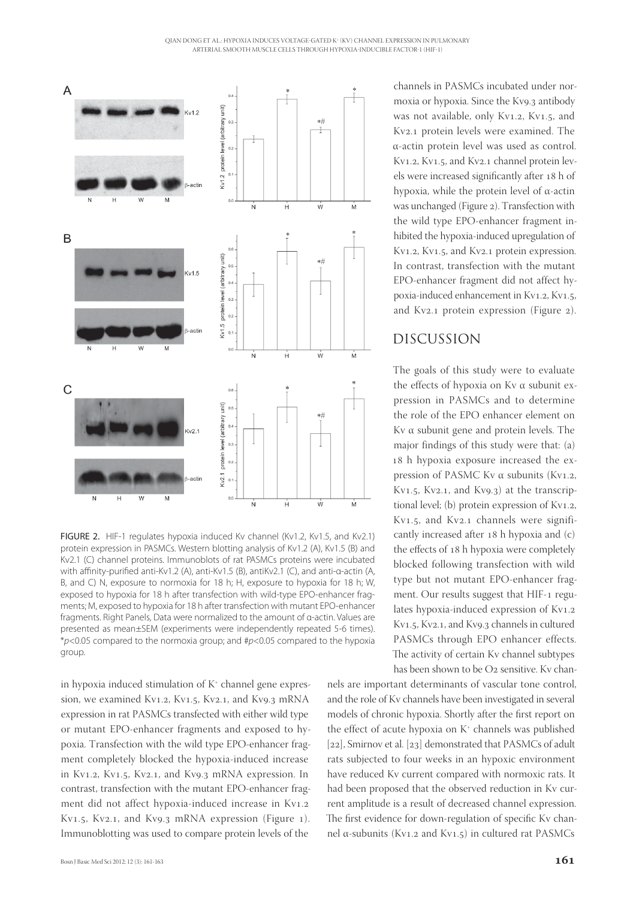

FIGURE 2. HIF-1 regulates hypoxia induced Ky channel (Ky1.2, Ky1.5, and Ky2.1) protein expression in PASMCs. Western blotting analysis of Kv1.2 (A), Kv1.5 (B) and Kv2.1 (C) channel proteins. Immunoblots of rat PASMCs proteins were incubated with affinity-purified anti-Kv1.2 (A), anti-Kv1.5 (B), antiKv2.1 (C), and anti-α-actin (A, B, and C) N, exposure to normoxia for 18 h; H, exposure to hypoxia for 18 h; W, exposed to hypoxia for 18 h after transfection with wild-type EPO-enhancer fragments; M, exposed to hypoxia for 18 h after transfection with mutant EPO-enhancer fragments. Right Panels, Data were normalized to the amount of α-actin. Values are presented as mean±SEM (experiments were independently repeated 5-6 times). \**p*<0.05 compared to the normoxia group; and #*p*<0.05 compared to the hypoxia group.

in hypoxia induced stimulation of  $K^*$  channel gene expression, we examined Kv1.2, Kv1.5, Kv2.1, and Kv9.3 mRNA expression in rat PASMCs transfected with either wild type or mutant EPO-enhancer fragments and exposed to hypoxia. Transfection with the wild type EPO-enhancer fragment completely blocked the hypoxia-induced increase in Kv1.2, Kv1.5, Kv2.1, and Kv9.3 mRNA expression. In contrast, transfection with the mutant EPO-enhancer fragment did not affect hypoxia-induced increase in Kv1.2 Kv1.5, Kv2.1, and Kv9.3 mRNA expression (Figure 1). Immunoblotting was used to compare protein levels of the

channels in PASMCs incubated under normoxia or hypoxia. Since the Kv9.3 antibody was not available, only Kv1.2, Kv1.5, and Kv2.1 protein levels were examined. The α-actin protein level was used as control. Kv1.2, Kv1.5, and Kv2.1 channel protein levels were increased significantly after 18 h of hypoxia, while the protein level of α-actin was unchanged (Figure 2). Transfection with the wild type EPO-enhancer fragment inhibited the hypoxia-induced upregulation of Kv1.2, Kv1.5, and Kv2.1 protein expression. In contrast, transfection with the mutant EPO-enhancer fragment did not affect hypoxia-induced enhancement in Kv1.2, Kv1.5, and Kv2.1 protein expression (Figure 2).

#### DISCUSSION

The goals of this study were to evaluate the effects of hypoxia on Kv α subunit expression in PASMCs and to determine the role of the EPO enhancer element on Kv α subunit gene and protein levels. The major findings of this study were that: (a) 18 h hypoxia exposure increased the expression of PASMC Kv $\alpha$  subunits (Kv1.2, Kv1.5, Kv2.1, and Kv9.3) at the transcriptional level; (b) protein expression of  $Kv1.2$ , Kv1.5, and Kv2.1 channels were significantly increased after  $18$  h hypoxia and  $(c)$ the effects of 18 h hypoxia were completely blocked following transfection with wild type but not mutant EPO-enhancer fragment. Our results suggest that HIF-1 regulates hypoxia-induced expression of  $Kv1.2$ Kv1.5, Kv2.1, and Kv9.3 channels in cultured PASMCs through EPO enhancer effects. The activity of certain Kv channel subtypes has been shown to be  $O<sub>2</sub>$  sensitive. Ky chan-

nels are important determinants of vascular tone control, and the role of Kv channels have been investigated in several models of chronic hypoxia. Shortly after the first report on the effect of acute hypoxia on K<sup>+</sup> channels was published [ $22$ ], Smirnov et al. [ $23$ ] demonstrated that PASMCs of adult rats subjected to four weeks in an hypoxic environment have reduced Kv current compared with normoxic rats. It had been proposed that the observed reduction in Kv current amplitude is a result of decreased channel expression. The first evidence for down-regulation of specific Kv channel α-subunits (Kv1.2 and Kv1.5) in cultured rat PASMCs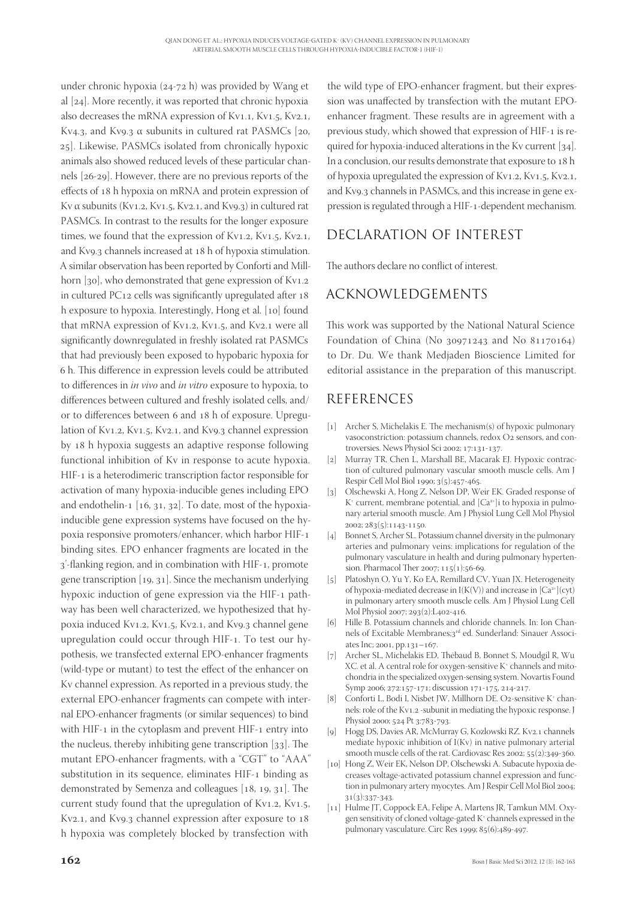under chronic hypoxia  $(24-72 h)$  was provided by Wang et al  $[24]$ . More recently, it was reported that chronic hypoxia also decreases the mRNA expression of  $Kv1.1$ ,  $Kv1.5$ ,  $Kv2.1$ , Kv4.3, and Kv9.3  $\alpha$  subunits in cultured rat PASMCs [20, 25]. Likewise, PASMCs isolated from chronically hypoxic animals also showed reduced levels of these particular channels  $[26-29]$ . However, there are no previous reports of the effects of 18 h hypoxia on mRNA and protein expression of Kv  $\alpha$  subunits (Kv1.2, Kv1.5, Kv2.1, and Kv9.3) in cultured rat PASMCs. In contrast to the results for the longer exposure times, we found that the expression of  $Kv1.2$ ,  $Kv1.5$ ,  $Kv2.1$ , and Kv9.3 channels increased at 18 h of hypoxia stimulation. A similar observation has been reported by Conforti and Millhorn  $[30]$ , who demonstrated that gene expression of Kv1.2 in cultured PC $12$  cells was significantly upregulated after  $18$ h exposure to hypoxia. Interestingly, Hong et al. [10] found that mRNA expression of Kv1.2, Kv1.5, and Kv2.1 were all significantly downregulated in freshly isolated rat PASMCs that had previously been exposed to hypobaric hypoxia for 6 h. This difference in expression levels could be attributed to diff erences in *in vivo* and *in vitro* exposure to hypoxia, to differences between cultured and freshly isolated cells, and/ or to differences between 6 and 18 h of exposure. Upregulation of Kv1.2, Kv1.5, Kv2.1, and Kv9.3 channel expression by 18 h hypoxia suggests an adaptive response following functional inhibition of Kv in response to acute hypoxia. HIF-1 is a heterodimeric transcription factor responsible for activation of many hypoxia-inducible genes including EPO and endothelin-1  $[16, 31, 32]$ . To date, most of the hypoxiainducible gene expression systems have focused on the hypoxia responsive promoters/enhancer, which harbor HIF binding sites. EPO enhancer fragments are located in the 3'-flanking region, and in combination with HIF-1, promote gene transcription  $[19, 31]$ . Since the mechanism underlying hypoxic induction of gene expression via the HIF-1 pathway has been well characterized, we hypothesized that hypoxia induced Kv1.2, Kv1.5, Kv2.1, and Kv9.3 channel gene upregulation could occur through HIF-1. To test our hypothesis, we transfected external EPO-enhancer fragments (wild-type or mutant) to test the effect of the enhancer on Kv channel expression. As reported in a previous study, the external EPO-enhancer fragments can compete with internal EPO-enhancer fragments (or similar sequences) to bind with HIF-1 in the cytoplasm and prevent HIF-1 entry into the nucleus, thereby inhibiting gene transcription  $[33]$ . The mutant EPO-enhancer fragments, with a "CGT" to "AAA" substitution in its sequence, eliminates HIF-1 binding as demonstrated by Semenza and colleagues  $[18, 19, 31]$ . The current study found that the upregulation of  $Kv1.2$ ,  $Kv1.5$ , Kv2.1, and Kv9.3 channel expression after exposure to 18 h hypoxia was completely blocked by transfection with

the wild type of EPO-enhancer fragment, but their expression was unaffected by transfection with the mutant EPOenhancer fragment. These results are in agreement with a previous study, which showed that expression of HIF-1 is required for hypoxia-induced alterations in the Kv current  $[34]$ . In a conclusion, our results demonstrate that exposure to 18 h of hypoxia upregulated the expression of Kv1.2, Kv1.5, Kv2.1, and Kv9.3 channels in PASMCs, and this increase in gene expression is regulated through a HIF-1-dependent mechanism.

# DECLARATION OF INTEREST

The authors declare no conflict of interest.

# ACKNOWLEDGEMENTS

This work was supported by the National Natural Science Foundation of China (No  $30971243$  and No  $81170164$ ) to Dr. Du. We thank Medjaden Bioscience Limited for editorial assistance in the preparation of this manuscript.

# REFERENCES

- [1] Archer S, Michelakis E. The mechanism(s) of hypoxic pulmonary vasoconstriction: potassium channels, redox O2 sensors, and controversies. News Physiol Sci 2002; 17:131-137.
- [2] Murray TR, Chen L, Marshall BE, Macarak EJ. Hypoxic contraction of cultured pulmonary vascular smooth muscle cells. Am J Respir Cell Mol Biol 1990; 3(5):457-465.
- [3] Olschewski A, Hong Z, Nelson DP, Weir EK. Graded response of  $K^*$  current, membrane potential, and  $[Ca^{2*}]$ i to hypoxia in pulmonary arterial smooth muscle. Am J Physiol Lung Cell Mol Physiol  $2002: 283(5):1143-1150.$
- [4] Bonnet S, Archer SL. Potassium channel diversity in the pulmonary arteries and pulmonary veins: implications for regulation of the pulmonary vasculature in health and during pulmonary hypertension. Pharmacol Ther 2007;  $115(1):56-69$ .
- [5] Platoshyn O, Yu Y, Ko EA, Remillard CV, Yuan JX. Heterogeneity of hypoxia-mediated decrease in  $I(K(V))$  and increase in  $[Ca^{2+}](cyt)$ in pulmonary artery smooth muscle cells. Am J Physiol Lung Cell Mol Physiol 2007; 293(2):L402-416.
- [6] Hille B. Potassium channels and chloride channels. In: Ion Channels of Excitable Membranes;3<sup>rd</sup> ed. Sunderland: Sinauer Associates Inc;  $2001$ , pp. $131 - 167$ .
- [7] Archer SL, Michelakis ED, Thébaud B, Bonnet S, Moudgil R, Wu XC. et al. A central role for oxygen-sensitive K<sup>+</sup> channels and mitochondria in the specialized oxygen-sensing system. Novartis Found Symp 2006; 272:157-171; discussion 171-175, 214-217.
- [8] Conforti L, Bodi I, Nisbet JW, Millhorn DE. O2-sensitive K<sup>+</sup> channels: role of the Kv1.2 -subunit in mediating the hypoxic response. J Physiol 2000; 524 Pt 3:783-793.
- [9] Hogg DS, Davies AR, McMurray G, Kozlowski RZ. Kv2.1 channels mediate hypoxic inhibition of I(Kv) in native pulmonary arterial smooth muscle cells of the rat. Cardiovasc Res 2002;  $55(2):349-360$ .
- [10] Hong Z, Weir EK, Nelson DP, Olschewski A. Subacute hypoxia decreases voltage-activated potassium channel expression and function in pulmonary artery myocytes. Am J Respir Cell Mol Biol 2004;  $31(3):337-343.$
- [11] Hulme JT, Coppock EA, Felipe A, Martens JR, Tamkun MM. Oxygen sensitivity of cloned voltage-gated K+ channels expressed in the pulmonary vasculature. Circ Res 1999;  $85(6):489-497$ .